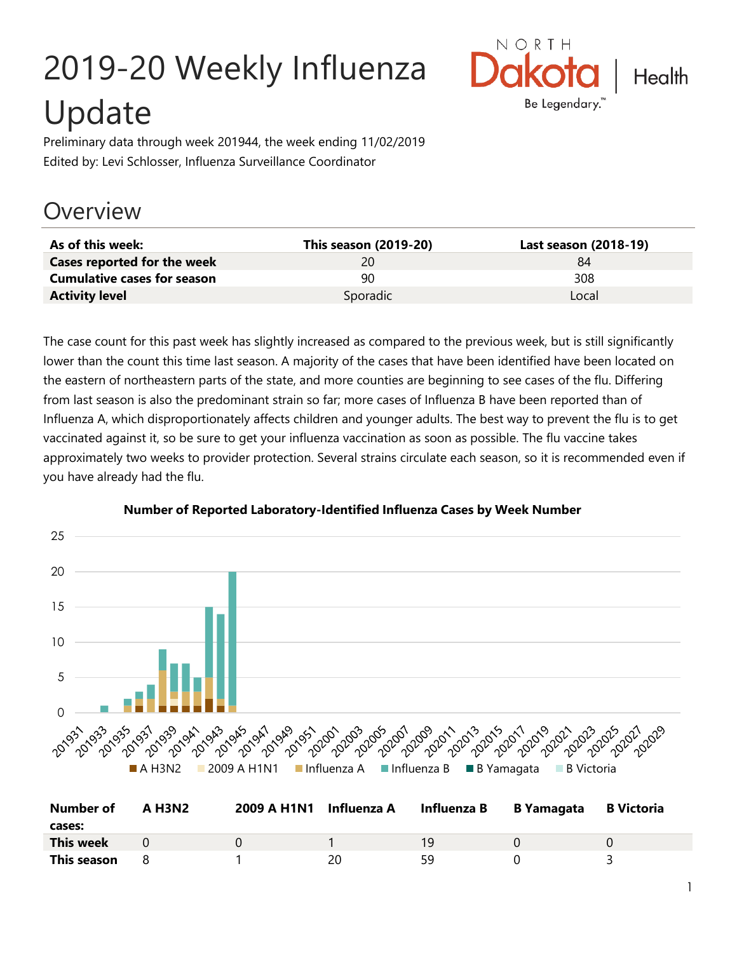# 2019-20 Weekly Influenza Update



Preliminary data through week 201944, the week ending 11/02/2019 Edited by: Levi Schlosser, Influenza Surveillance Coordinator

### **Overview**

| As of this week:                   | This season (2019-20) | Last season (2018-19) |
|------------------------------------|-----------------------|-----------------------|
| <b>Cases reported for the week</b> | 20.                   | 84                    |
| <b>Cumulative cases for season</b> | 90.                   | 308                   |
| <b>Activity level</b>              | Sporadic              | Local                 |

The case count for this past week has slightly increased as compared to the previous week, but is still significantly lower than the count this time last season. A majority of the cases that have been identified have been located on the eastern of northeastern parts of the state, and more counties are beginning to see cases of the flu. Differing from last season is also the predominant strain so far; more cases of Influenza B have been reported than of Influenza A, which disproportionately affects children and younger adults. The best way to prevent the flu is to get vaccinated against it, so be sure to get your influenza vaccination as soon as possible. The flu vaccine takes approximately two weeks to provider protection. Several strains circulate each season, so it is recommended even if you have already had the flu.



#### **Number of Reported Laboratory-Identified Influenza Cases by Week Number**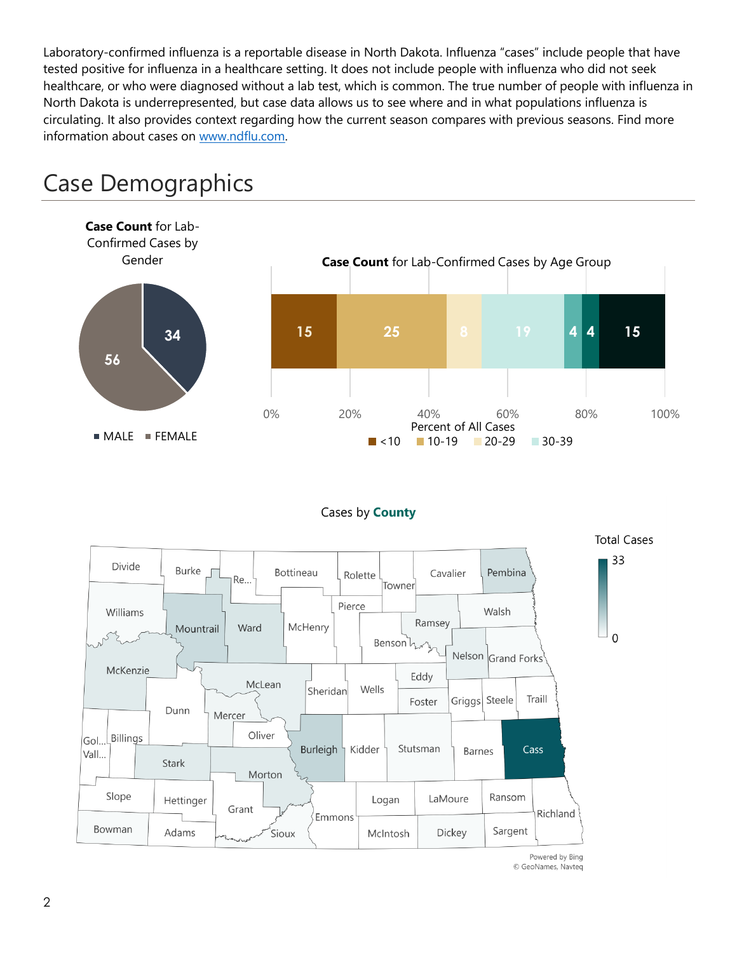Laboratory-confirmed influenza is a reportable disease in North Dakota. Influenza "cases" include people that have tested positive for influenza in a healthcare setting. It does not include people with influenza who did not seek healthcare, or who were diagnosed without a lab test, which is common. The true number of people with influenza in North Dakota is underrepresented, but case data allows us to see where and in what populations influenza is circulating. It also provides context regarding how the current season compares with previous seasons. Find more information about cases on [www.ndflu.com.](file://///nd.gov/doh/DOH-DATA/MSS/DC/PROGRAM/IMMUNE/Immunize/Influenza/Inf18-19/Surveillance/Weekly%20Summaries/www.ndflu.com)



### Case Demographics

#### Cases by **County**



© GeoNames, Navteq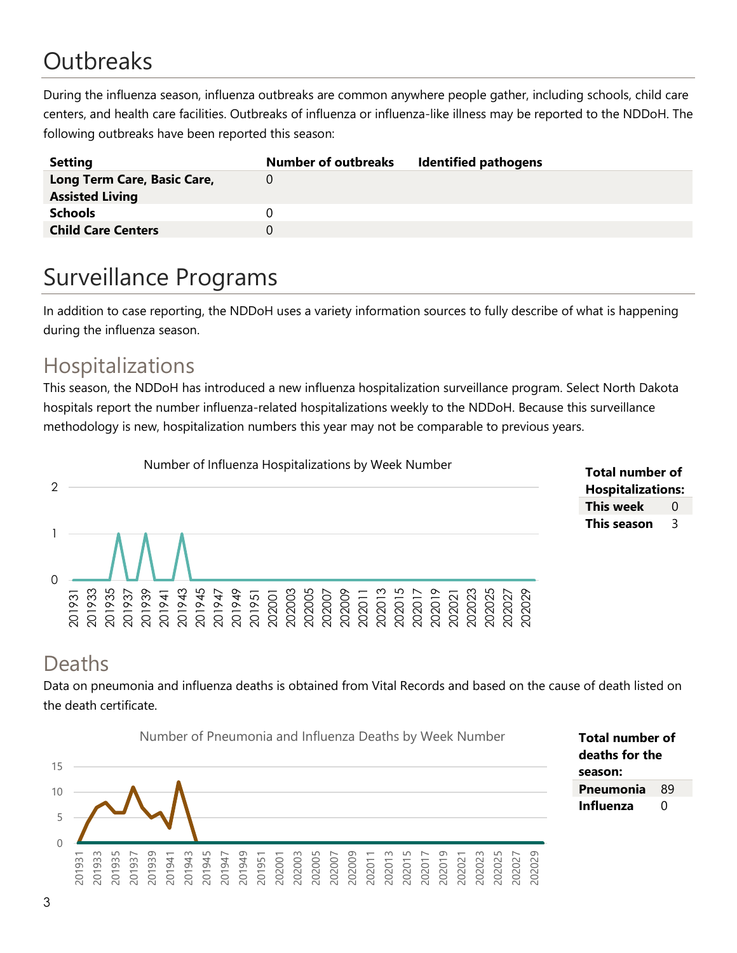# **Outbreaks**

During the influenza season, influenza outbreaks are common anywhere people gather, including schools, child care centers, and health care facilities. Outbreaks of influenza or influenza-like illness may be reported to the NDDoH. The following outbreaks have been reported this season:

| <b>Setting</b>              | <b>Number of outbreaks</b> | <b>Identified pathogens</b> |
|-----------------------------|----------------------------|-----------------------------|
| Long Term Care, Basic Care, |                            |                             |
| <b>Assisted Living</b>      |                            |                             |
| <b>Schools</b>              |                            |                             |
| <b>Child Care Centers</b>   |                            |                             |
|                             |                            |                             |

# Surveillance Programs

In addition to case reporting, the NDDoH uses a variety information sources to fully describe of what is happening during the influenza season.

### Hospitalizations

This season, the NDDoH has introduced a new influenza hospitalization surveillance program. Select North Dakota hospitals report the number influenza-related hospitalizations weekly to the NDDoH. Because this surveillance methodology is new, hospitalization numbers this year may not be comparable to previous years.



#### **Total number of Hospitalizations: This week** 0 **This season** 3

### Deaths

Data on pneumonia and influenza deaths is obtained from Vital Records and based on the cause of death listed on the death certificate.



**Total number of deaths for the season: Pneumonia** 89 **Influenza** 0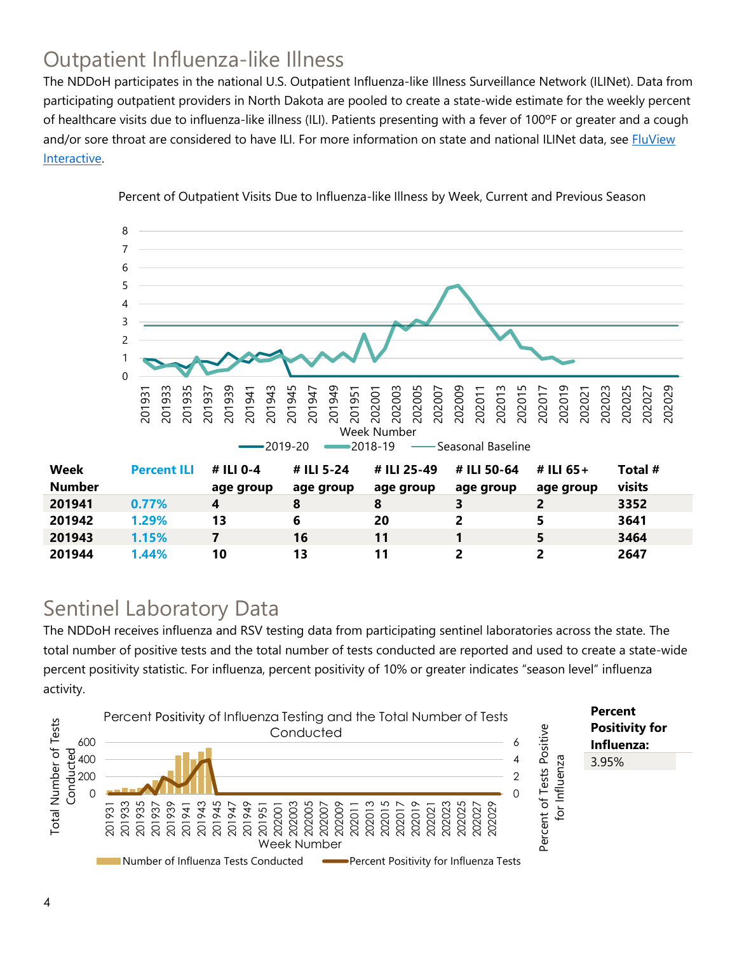### Outpatient Influenza-like Illness

The NDDoH participates in the national U.S. Outpatient Influenza-like Illness Surveillance Network (ILINet). Data from participating outpatient providers in North Dakota are pooled to create a state-wide estimate for the weekly percent of healthcare visits due to influenza-like illness (ILI). Patients presenting with a fever of 100ºF or greater and a cough and/or sore throat are considered to have ILI. For more information on state and national ILINet data, see **FluView** [Interactive.](https://gis.cdc.gov/grasp/fluview/fluportaldashboard.html)



Percent of Outpatient Visits Due to Influenza-like Illness by Week, Current and Previous Season

### Sentinel Laboratory Data

The NDDoH receives influenza and RSV testing data from participating sentinel laboratories across the state. The total number of positive tests and the total number of tests conducted are reported and used to create a state-wide percent positivity statistic. For influenza, percent positivity of 10% or greater indicates "season level" influenza activity.

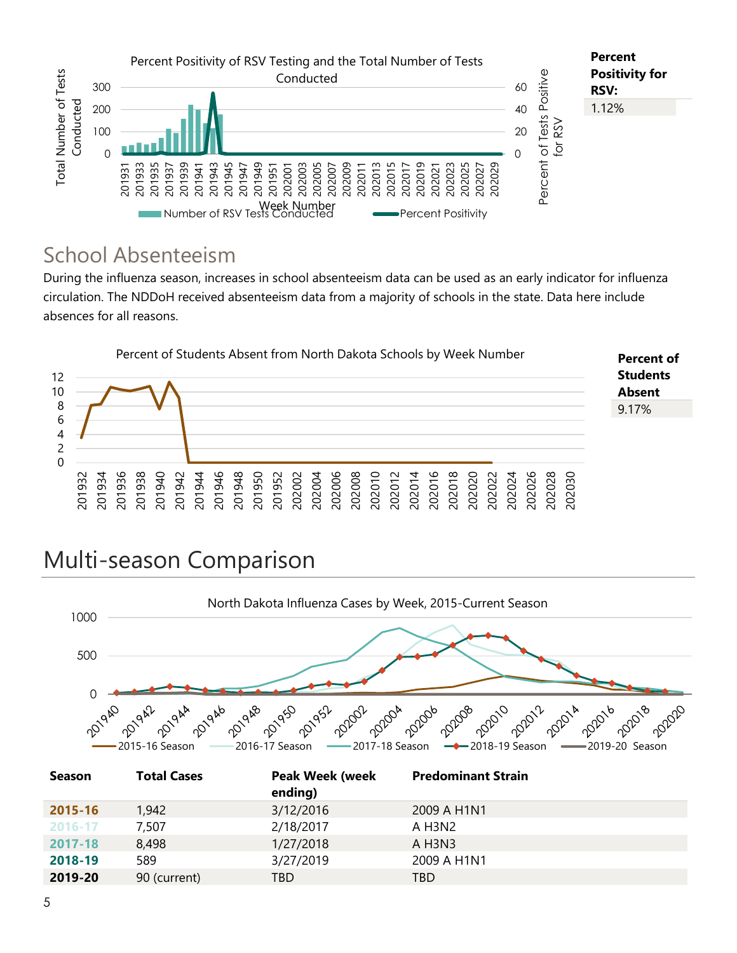

### School Absenteeism

During the influenza season, increases in school absenteeism data can be used as an early indicator for influenza circulation. The NDDoH received absenteeism data from a majority of schools in the state. Data here include absences for all reasons.



## Multi-season Comparison